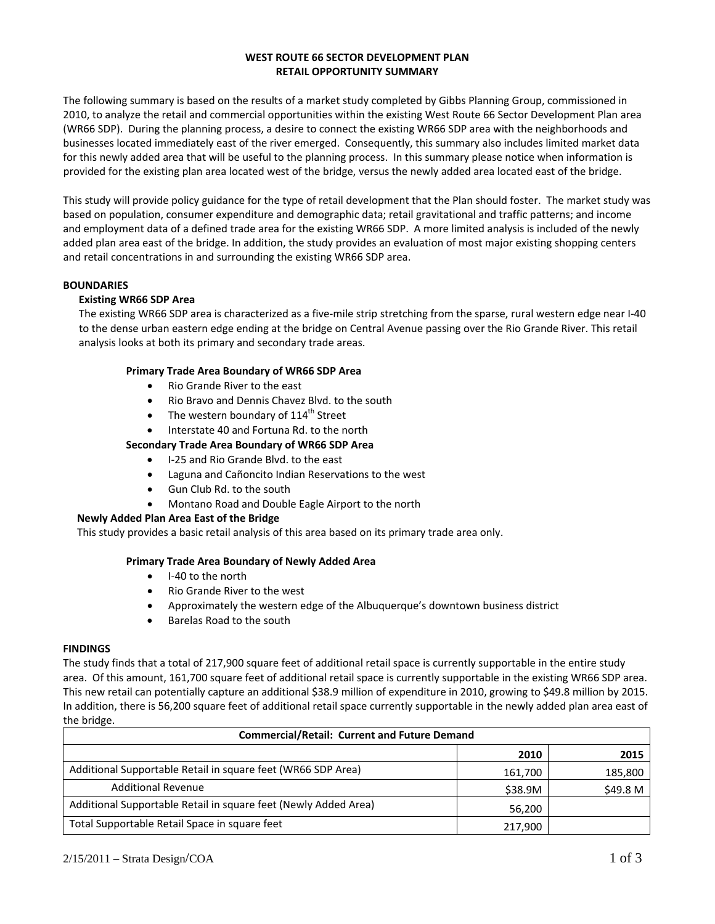## **WEST ROUTE 66 SECTOR DEVELOPMENT PLAN RETAIL OPPORTUNITY SUMMARY**

The following summary is based on the results of a market study completed by Gibbs Planning Group, commissioned in 2010, to analyze the retail and commercial opportunities within the existing West Route 66 Sector Development Plan area (WR66 SDP). During the planning process, a desire to connect the existing WR66 SDP area with the neighborhoods and businesses located immediately east of the river emerged. Consequently, this summary also includes limited market data for this newly added area that will be useful to the planning process. In this summary please notice when information is provided for the existing plan area located west of the bridge, versus the newly added area located east of the bridge.

This study will provide policy guidance for the type of retail development that the Plan should foster. The market study was based on population, consumer expenditure and demographic data; retail gravitational and traffic patterns; and income and employment data of a defined trade area for the existing WR66 SDP. A more limited analysis is included of the newly added plan area east of the bridge. In addition, the study provides an evaluation of most major existing shopping centers and retail concentrations in and surrounding the existing WR66 SDP area.

## **BOUNDARIES**

## **Existing WR66 SDP Area**

The existing WR66 SDP area is characterized as a five‐mile strip stretching from the sparse, rural western edge near I‐40 to the dense urban eastern edge ending at the bridge on Central Avenue passing over the Rio Grande River. This retail analysis looks at both its primary and secondary trade areas.

## **Primary Trade Area Boundary of WR66 SDP Area**

- Rio Grande River to the east
- Rio Bravo and Dennis Chavez Blyd. to the south
- The western boundary of  $114^{\text{th}}$  Street
- Interstate 40 and Fortuna Rd. to the north

## **Secondary Trade Area Boundary of WR66 SDP Area**

- I-25 and Rio Grande Blvd. to the east
- Laguna and Cañoncito Indian Reservations to the west
- Gun Club Rd. to the south
- Montano Road and Double Eagle Airport to the north

## **Newly Added Plan Area East of the Bridge**

This study provides a basic retail analysis of this area based on its primary trade area only.

#### **Primary Trade Area Boundary of Newly Added Area**

- I-40 to the north
- Rio Grande River to the west
- Approximately the western edge of the Albuquerque's downtown business district
- Barelas Road to the south

#### **FINDINGS**

The study finds that a total of 217,900 square feet of additional retail space is currently supportable in the entire study area. Of this amount, 161,700 square feet of additional retail space is currently supportable in the existing WR66 SDP area. This new retail can potentially capture an additional \$38.9 million of expenditure in 2010, growing to \$49.8 million by 2015. In addition, there is 56,200 square feet of additional retail space currently supportable in the newly added plan area east of the bridge.

| <b>Commercial/Retail: Current and Future Demand</b>             |         |          |  |  |
|-----------------------------------------------------------------|---------|----------|--|--|
|                                                                 | 2010    | 2015     |  |  |
| Additional Supportable Retail in square feet (WR66 SDP Area)    | 161,700 | 185,800  |  |  |
| <b>Additional Revenue</b>                                       | \$38.9M | \$49.8 M |  |  |
| Additional Supportable Retail in square feet (Newly Added Area) | 56.200  |          |  |  |
| Total Supportable Retail Space in square feet                   | 217.900 |          |  |  |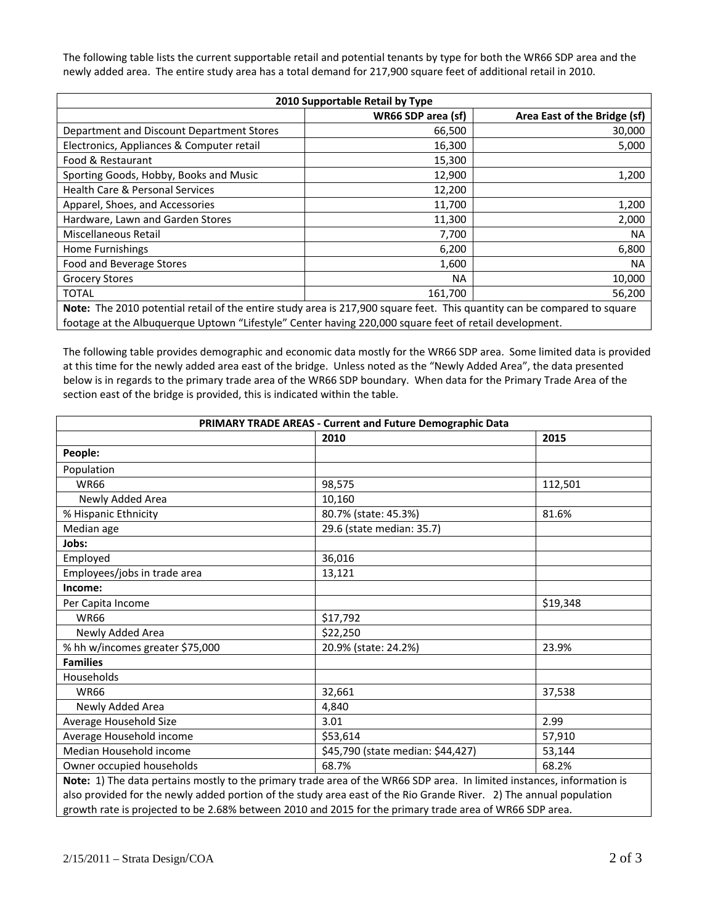The following table lists the current supportable retail and potential tenants by type for both the WR66 SDP area and the newly added area. The entire study area has a total demand for 217,900 square feet of additional retail in 2010.

| 2010 Supportable Retail by Type                                                                                          |                    |                              |  |
|--------------------------------------------------------------------------------------------------------------------------|--------------------|------------------------------|--|
|                                                                                                                          | WR66 SDP area (sf) | Area East of the Bridge (sf) |  |
| Department and Discount Department Stores                                                                                | 66,500             | 30,000                       |  |
| Electronics, Appliances & Computer retail                                                                                | 16,300             | 5,000                        |  |
| Food & Restaurant                                                                                                        | 15,300             |                              |  |
| Sporting Goods, Hobby, Books and Music                                                                                   | 12,900             | 1,200                        |  |
| Health Care & Personal Services                                                                                          | 12,200             |                              |  |
| Apparel, Shoes, and Accessories                                                                                          | 11,700             | 1,200                        |  |
| Hardware, Lawn and Garden Stores                                                                                         | 11,300             | 2,000                        |  |
| Miscellaneous Retail                                                                                                     | 7,700              | <b>NA</b>                    |  |
| Home Furnishings                                                                                                         | 6,200              | 6,800                        |  |
| Food and Beverage Stores                                                                                                 | 1,600              | <b>NA</b>                    |  |
| <b>Grocery Stores</b>                                                                                                    | <b>NA</b>          | 10,000                       |  |
| <b>TOTAL</b>                                                                                                             | 161,700            | 56,200                       |  |
| Note: The 2010 potential retail of the entire study area is 217,900 square feet. This quantity can be compared to square |                    |                              |  |
| footage at the Albuquerque Uptown "Lifestyle" Center having 220,000 square feet of retail development.                   |                    |                              |  |

The following table provides demographic and economic data mostly for the WR66 SDP area. Some limited data is provided at this time for the newly added area east of the bridge. Unless noted as the "Newly Added Area", the data presented below is in regards to the primary trade area of the WR66 SDP boundary. When data for the Primary Trade Area of the section east of the bridge is provided, this is indicated within the table.

| <b>PRIMARY TRADE AREAS - Current and Future Demographic Data</b>                                                       |                                   |          |  |
|------------------------------------------------------------------------------------------------------------------------|-----------------------------------|----------|--|
|                                                                                                                        | 2010                              | 2015     |  |
| People:                                                                                                                |                                   |          |  |
| Population                                                                                                             |                                   |          |  |
| <b>WR66</b>                                                                                                            | 98,575                            | 112,501  |  |
| Newly Added Area                                                                                                       | 10,160                            |          |  |
| % Hispanic Ethnicity                                                                                                   | 80.7% (state: 45.3%)              | 81.6%    |  |
| Median age                                                                                                             | 29.6 (state median: 35.7)         |          |  |
| Jobs:                                                                                                                  |                                   |          |  |
| Employed                                                                                                               | 36,016                            |          |  |
| Employees/jobs in trade area                                                                                           | 13,121                            |          |  |
| Income:                                                                                                                |                                   |          |  |
| Per Capita Income                                                                                                      |                                   | \$19,348 |  |
| <b>WR66</b>                                                                                                            | \$17,792                          |          |  |
| Newly Added Area                                                                                                       | \$22,250                          |          |  |
| % hh w/incomes greater \$75,000                                                                                        | 20.9% (state: 24.2%)              | 23.9%    |  |
| <b>Families</b>                                                                                                        |                                   |          |  |
| Households                                                                                                             |                                   |          |  |
| <b>WR66</b>                                                                                                            | 32,661                            | 37,538   |  |
| Newly Added Area                                                                                                       | 4,840                             |          |  |
| Average Household Size                                                                                                 | 3.01                              | 2.99     |  |
| Average Household income                                                                                               | \$53,614                          | 57,910   |  |
| Median Household income                                                                                                | \$45,790 (state median: \$44,427) | 53,144   |  |
| Owner occupied households                                                                                              | 68.7%                             | 68.2%    |  |
| Note: 1) The data pertains meetly to the primary trade area of the WDCC CDD area. In limited instances, information is |                                   |          |  |

**Note:** 1) The data pertains mostly to the primary trade area of the WR66 SDP area. In limited instances, information is also provided for the newly added portion of the study area east of the Rio Grande River. 2) The annual population growth rate is projected to be 2.68% between 2010 and 2015 for the primary trade area of WR66 SDP area.